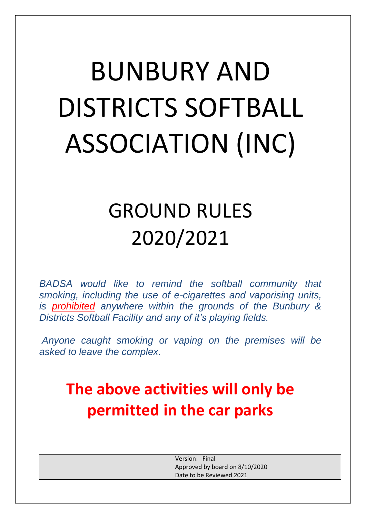# BUNBURY AND DISTRICTS SOFTBALL ASSOCIATION (INC)

# GROUND RULES 2020/2021

*BADSA would like to remind the softball community that smoking, including the use of e-cigarettes and vaporising units, is prohibited anywhere within the grounds of the Bunbury & Districts Softball Facility and any of it's playing fields.*

*Anyone caught smoking or vaping on the premises will be asked to leave the complex.*

# **The above activities will only be permitted in the car parks**

Version: Final Approved by board on 8/10/2020 Date to be Reviewed 2021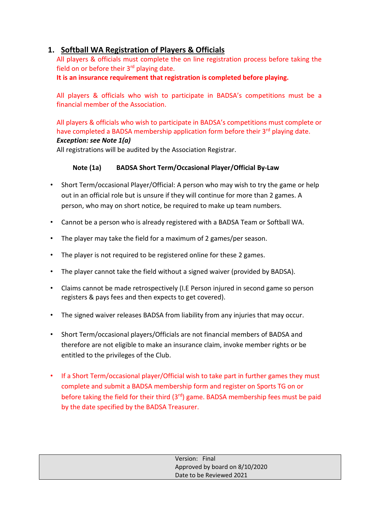# **1. Softball WA Registration of Players & Officials**

All players & officials must complete the on line registration process before taking the field on or before their  $3<sup>rd</sup>$  playing date.

**It is an insurance requirement that registration is completed before playing.**

All players & officials who wish to participate in BADSA's competitions must be a financial member of the Association.

All players & officials who wish to participate in BADSA's competitions must complete or have completed a BADSA membership application form before their 3<sup>rd</sup> playing date. *Exception: see Note 1(a)*

All registrations will be audited by the Association Registrar.

### **Note (1a) BADSA Short Term/Occasional Player/Official By-Law**

- Short Term/occasional Player/Official: A person who may wish to try the game or help out in an official role but is unsure if they will continue for more than 2 games. A person, who may on short notice, be required to make up team numbers.
- Cannot be a person who is already registered with a BADSA Team or Softball WA.
- The player may take the field for a maximum of 2 games/per season.
- The player is not required to be registered online for these 2 games.
- The player cannot take the field without a signed waiver (provided by BADSA).
- Claims cannot be made retrospectively (I.E Person injured in second game so person registers & pays fees and then expects to get covered).
- The signed waiver releases BADSA from liability from any injuries that may occur.
- Short Term/occasional players/Officials are not financial members of BADSA and therefore are not eligible to make an insurance claim, invoke member rights or be entitled to the privileges of the Club.
- If a Short Term/occasional player/Official wish to take part in further games they must complete and submit a BADSA membership form and register on Sports TG on or before taking the field for their third  $(3<sup>rd</sup>)$  game. BADSA membership fees must be paid by the date specified by the BADSA Treasurer.

| Version: Final                 |
|--------------------------------|
| Approved by board on 8/10/2020 |
| Date to be Reviewed 2021       |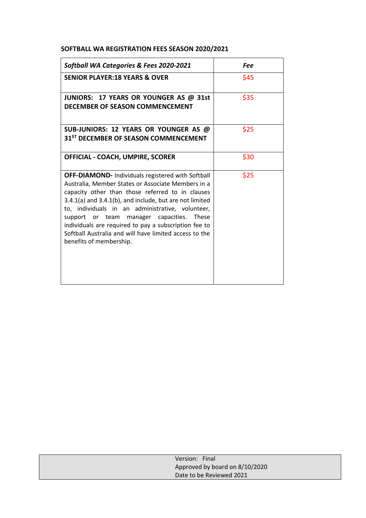#### **SOFTBALL WA REGISTRATION FEES SEASON 2020/2021**

| Softball WA Categories & Fees 2020-2021                                                                                                                                                                                                                                                                                                                                                                                                                                                     | Fee  |
|---------------------------------------------------------------------------------------------------------------------------------------------------------------------------------------------------------------------------------------------------------------------------------------------------------------------------------------------------------------------------------------------------------------------------------------------------------------------------------------------|------|
| <b>SENIOR PLAYER:18 YEARS &amp; OVER</b>                                                                                                                                                                                                                                                                                                                                                                                                                                                    | \$45 |
| JUNIORS: 17 YEARS OR YOUNGER AS @ 31st<br>DECEMBER OF SEASON COMMENCEMENT                                                                                                                                                                                                                                                                                                                                                                                                                   | \$35 |
| SUB-JUNIORS: 12 YEARS OR YOUNGER AS @<br>31 <sup>ST</sup> DECEMBER OF SEASON COMMENCEMENT                                                                                                                                                                                                                                                                                                                                                                                                   | \$25 |
| <b>OFFICIAL - COACH, UMPIRE, SCORER</b>                                                                                                                                                                                                                                                                                                                                                                                                                                                     | \$30 |
| <b>OFF-DIAMOND-</b> Individuals registered with Softball<br>Australia, Member States or Associate Members in a<br>capacity other than those referred to in clauses<br>$3.4.1(a)$ and $3.4.1(b)$ , and include, but are not limited<br>to, individuals in an administrative, volunteer,<br>support or team manager capacities.<br><b>These</b><br>individuals are required to pay a subscription fee to<br>Softball Australia and will have limited access to the<br>benefits of membership. | \$25 |

| Version: Final                 |
|--------------------------------|
| Approved by board on 8/10/2020 |
| Date to be Reviewed 2021       |
|                                |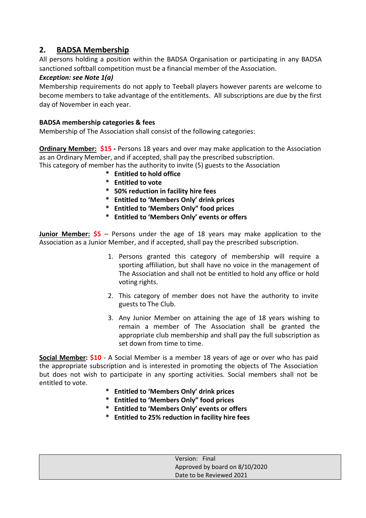# **2. BADSA Membership**

All persons holding a position within the BADSA Organisation or participating in any BADSA sanctioned softball competition must be a financial member of the Association.

#### *Exception: see Note 1(a)*

Membership requirements do not apply to Teeball players however parents are welcome to become members to take advantage of the entitlements. All subscriptions are due by the first day of November in each year.

#### **BADSA membership categories & fees**

Membership of The Association shall consist of the following categories:

**Ordinary Member: \$15** - Persons 18 years and over may make application to the Association as an Ordinary Member, and if accepted, shall pay the prescribed subscription.

This category of member has the authority to invite (5) guests to the Association

- **\* Entitled to hold office**
- **\* Entitled to vote**
- **\* 50% reduction in facility hire fees**
- **\* Entitled to 'Members Only' drink prices**
- **\* Entitled to 'Members Only" food prices**
- **\* Entitled to 'Members Only' events or offers**

**Junior Member: \$5** – Persons under the age of 18 years may make application to the Association as a Junior Member, and if accepted, shall pay the prescribed subscription.

- 1. Persons granted this category of membership will require a sporting affiliation, but shall have no voice in the management of The Association and shall not be entitled to hold any office or hold voting rights.
- 2. This category of member does not have the authority to invite guests to The Club.
- 3. Any Junior Member on attaining the age of 18 years wishing to remain a member of The Association shall be granted the appropriate club membership and shall pay the full subscription as set down from time to time.

**Social Member: \$10** - A Social Member is a member 18 years of age or over who has paid the appropriate subscription and is interested in promoting the objects of The Association but does not wish to participate in any sporting activities. Social members shall not be entitled to vote.

- **\* Entitled to 'Members Only' drink prices**
- **\* Entitled to 'Members Only" food prices**
- **\* Entitled to 'Members Only' events or offers**
- **\* Entitled to 25% reduction in facility hire fees**

| Version: Final                 |
|--------------------------------|
| Approved by board on 8/10/2020 |
| Date to be Reviewed 2021       |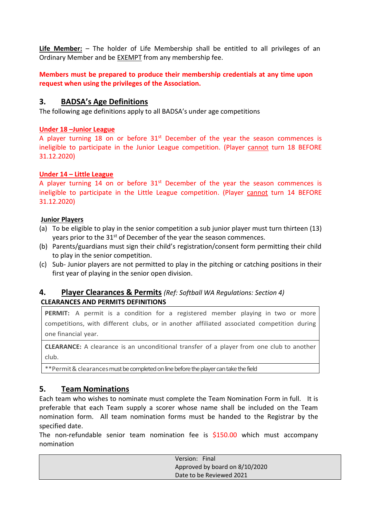**Life Member:** – The holder of Life Membership shall be entitled to all privileges of an Ordinary Member and be EXEMPT from any membership fee.

**Members must be prepared to produce their membership credentials at any time upon request when using the privileges of the Association.**

### **3. BADSA's Age Definitions**

The following age definitions apply to all BADSA's under age competitions

#### **Under 18 –Junior League**

A player turning 18 on or before  $31<sup>st</sup>$  December of the year the season commences is ineligible to participate in the Junior League competition. (Player cannot turn 18 BEFORE 31.12.2020)

#### **Under 14 – Little League**

A player turning 14 on or before  $31<sup>st</sup>$  December of the year the season commences is ineligible to participate in the Little League competition. (Player cannot turn 14 BEFORE 31.12.2020)

#### **Junior Players**

- (a) To be eligible to play in the senior competition a sub junior player must turn thirteen (13) years prior to the  $31^{st}$  of December of the year the season commences.
- (b) Parents/guardians must sign their child's registration/consent form permitting their child to play in the senior competition.
- (c) Sub- Junior players are not permitted to play in the pitching or catching positions in their first year of playing in the senior open division.

#### **4. Player Clearances & Permits** *(Ref: Softball WA Regulations: Section 4)* **CLEARANCES AND PERMITS DEFINITIONS**

**PERMIT:** A permit is a condition for a registered member playing in two or more competitions, with different clubs, or in another affiliated associated competition during one financial year.

**CLEARANCE:** A clearance is an unconditional transfer of a player from one club to another club.

\*\*Permit& clearances must be completed on line before the player can take the field

### **5. Team Nominations**

Each team who wishes to nominate must complete the Team Nomination Form in full. It is preferable that each Team supply a scorer whose name shall be included on the Team nomination form. All team nomination forms must be handed to the Registrar by the specified date.

The non-refundable senior team nomination fee is \$150.00 which must accompany nomination

| Version: Final                 |
|--------------------------------|
| Approved by board on 8/10/2020 |
| Date to be Reviewed 2021       |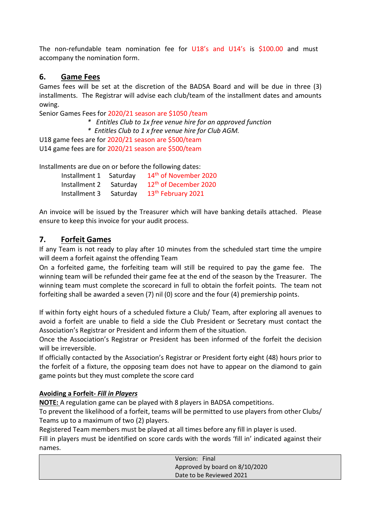The non-refundable team nomination fee for U18's and U14's is \$100.00 and must accompany the nomination form.

# **6. Game Fees**

Games fees will be set at the discretion of the BADSA Board and will be due in three (3) installments. The Registrar will advise each club/team of the installment dates and amounts owing.

Senior Games Fees for 2020/21 season are \$1050 /team *\* Entitles Club to 1x free venue hire for an approved function \* Entitles Club to 1 x free venue hire for Club AGM.* U18 game fees are for 2020/21 season are \$500/team U14 game fees are for 2020/21 season are \$500/team

Installments are due on or before the following dates:

| Installment 1 | Saturday | 14 <sup>th</sup> of November 2020 |
|---------------|----------|-----------------------------------|
| Installment 2 | Saturdav | 12 <sup>th</sup> of December 2020 |
| Installment 3 | Saturday | 13 <sup>th</sup> February 2021    |

An invoice will be issued by the Treasurer which will have banking details attached. Please ensure to keep this invoice for your audit process.

# **7. Forfeit Games**

If any Team is not ready to play after 10 minutes from the scheduled start time the umpire will deem a forfeit against the offending Team

On a forfeited game, the forfeiting team will still be required to pay the game fee. The winning team will be refunded their game fee at the end of the season by the Treasurer. The winning team must complete the scorecard in full to obtain the forfeit points. The team not forfeiting shall be awarded a seven (7) nil (0) score and the four (4) premiership points.

If within forty eight hours of a scheduled fixture a Club/ Team, after exploring all avenues to avoid a forfeit are unable to field a side the Club President or Secretary must contact the Association's Registrar or President and inform them of the situation.

Once the Association's Registrar or President has been informed of the forfeit the decision will be irreversible.

If officially contacted by the Association's Registrar or President forty eight (48) hours prior to the forfeit of a fixture, the opposing team does not have to appear on the diamond to gain game points but they must complete the score card

#### **Avoiding a Forfeit-** *Fill in Players*

**NOTE:** A regulation game can be played with 8 players in BADSA competitions.

To prevent the likelihood of a forfeit, teams will be permitted to use players from other Clubs/ Teams up to a maximum of two (2) players.

Registered Team members must be played at all times before any fill in player is used.

Fill in players must be identified on score cards with the words 'fill in' indicated against their names.

| Version: Final                 |  |
|--------------------------------|--|
| Approved by board on 8/10/2020 |  |
| Date to be Reviewed 2021       |  |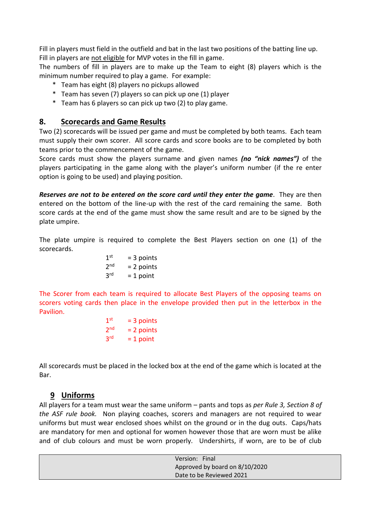Fill in players must field in the outfield and bat in the last two positions of the batting line up. Fill in players are not eligible for MVP votes in the fill in game.

The numbers of fill in players are to make up the Team to eight (8) players which is the minimum number required to play a game. For example:

- \* Team has eight (8) players no pickups allowed
- \* Team has seven (7) players so can pick up one (1) player
- \* Team has 6 players so can pick up two (2) to play game.

#### **8. Scorecards and Game Results**

Two (2) scorecards will be issued per game and must be completed by both teams. Each team must supply their own scorer. All score cards and score books are to be completed by both teams prior to the commencement of the game.

Score cards must show the players surname and given names *(no "nick names")* of the players participating in the game along with the player's uniform number (if the re enter option is going to be used) and playing position.

*Reserves are not to be entered on the score card until they enter the game*. They are then entered on the bottom of the line-up with the rest of the card remaining the same. Both score cards at the end of the game must show the same result and are to be signed by the plate umpire.

The plate umpire is required to complete the Best Players section on one (1) of the scorecards.

| 1 <sup>st</sup> | $=$ 3 points |
|-----------------|--------------|
| 2 <sub>nd</sub> | $= 2$ points |
| 3 <sup>rd</sup> | $= 1$ point  |

The Scorer from each team is required to allocate Best Players of the opposing teams on scorers voting cards then place in the envelope provided then put in the letterbox in the Pavilion.

| 1 <sup>st</sup> | $=$ 3 points |
|-----------------|--------------|
| 2 <sub>nd</sub> | $= 2$ points |
| 3 <sup>rd</sup> | $= 1$ point  |

All scorecards must be placed in the locked box at the end of the game which is located at the Bar.

### **9 Uniforms**

All players for a team must wear the same uniform – pants and tops as *per Rule 3, Section 8 of the ASF rule book.* Non playing coaches, scorers and managers are not required to wear uniforms but must wear enclosed shoes whilst on the ground or in the dug outs. Caps/hats are mandatory for men and optional for women however those that are worn must be alike and of club colours and must be worn properly. Undershirts, if worn, are to be of club

| Version: Final                 |  |
|--------------------------------|--|
| Approved by board on 8/10/2020 |  |
| Date to be Reviewed 2021       |  |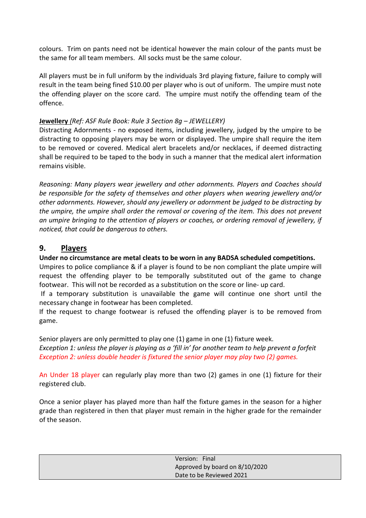colours. Trim on pants need not be identical however the main colour of the pants must be the same for all team members. All socks must be the same colour.

All players must be in full uniform by the individuals 3rd playing fixture, failure to comply will result in the team being fined \$10.00 per player who is out of uniform. The umpire must note the offending player on the score card. The umpire must notify the offending team of the offence.

#### **Jewellery** *(Ref: ASF Rule Book: Rule 3 Section 8g – JEWELLERY)*

Distracting Adornments - no exposed items, including jewellery, judged by the umpire to be distracting to opposing players may be worn or displayed. The umpire shall require the item to be removed or covered. Medical alert bracelets and/or necklaces, if deemed distracting shall be required to be taped to the body in such a manner that the medical alert information remains visible.

*Reasoning: Many players wear jewellery and other adornments. Players and Coaches should be responsible for the safety of themselves and other players when wearing jewellery and/or other adornments. However, should any jewellery or adornment be judged to be distracting by the umpire, the umpire shall order the removal or covering of the item. This does not prevent an umpire bringing to the attention of players or coaches, or ordering removal of jewellery, if noticed, that could be dangerous to others.*

### **9. Players**

#### **Under no circumstance are metal cleats to be worn in any BADSA scheduled competitions.**

Umpires to police compliance & if a player is found to be non compliant the plate umpire will request the offending player to be temporally substituted out of the game to change footwear. This will not be recorded as a substitution on the score or line- up card.

If a temporary substitution is unavailable the game will continue one short until the necessary change in footwear has been completed.

If the request to change footwear is refused the offending player is to be removed from game.

Senior players are only permitted to play one (1) game in one (1) fixture week.

*Exception 1: unless the player is playing as a 'fill in' for another team to help prevent a forfeit Exception 2: unless double header is fixtured the senior player may play two (2) games.* 

An Under 18 player can regularly play more than two (2) games in one (1) fixture for their registered club.

Once a senior player has played more than half the fixture games in the season for a higher grade than registered in then that player must remain in the higher grade for the remainder of the season.

| Version: Final                 |
|--------------------------------|
| Approved by board on 8/10/2020 |
| Date to be Reviewed 2021       |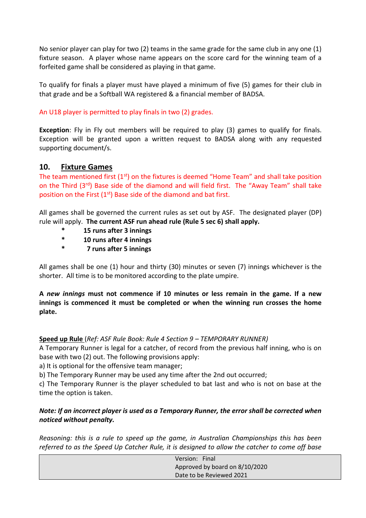No senior player can play for two (2) teams in the same grade for the same club in any one (1) fixture season. A player whose name appears on the score card for the winning team of a forfeited game shall be considered as playing in that game.

To qualify for finals a player must have played a minimum of five (5) games for their club in that grade and be a Softball WA registered & a financial member of BADSA.

#### An U18 player is permitted to play finals in two (2) grades.

**Exception**: Fly in Fly out members will be required to play (3) games to qualify for finals. Exception will be granted upon a written request to BADSA along with any requested supporting document/s.

### **10. Fixture Games**

The team mentioned first  $(1<sup>st</sup>)$  on the fixtures is deemed "Home Team" and shall take position on the Third (3<sup>rd</sup>) Base side of the diamond and will field first. The "Away Team" shall take position on the First  $(1<sup>st</sup>)$  Base side of the diamond and bat first.

All games shall be governed the current rules as set out by ASF. The designated player (DP) rule will apply. **The current ASF run ahead rule (Rule 5 sec 6) shall apply.**

- **\* 15 runs after 3 innings**
- **\* 10 runs after 4 innings**
- **\* 7 runs after 5 innings**

All games shall be one (1) hour and thirty (30) minutes or seven (7) innings whichever is the shorter. All time is to be monitored according to the plate umpire.

**A** *new innings* **must not commence if 10 minutes or less remain in the game. If a new innings is commenced it must be completed or when the winning run crosses the home plate.**

#### **Speed up Rule** (*Ref: ASF Rule Book: Rule 4 Section 9 – TEMPORARY RUNNER)*

A Temporary Runner is legal for a catcher, of record from the previous half inning, who is on base with two (2) out. The following provisions apply:

a) It is optional for the offensive team manager;

b) The Temporary Runner may be used any time after the 2nd out occurred;

c) The Temporary Runner is the player scheduled to bat last and who is not on base at the time the option is taken.

#### *Note: If an incorrect player is used as a Temporary Runner, the error shall be corrected when noticed without penalty.*

*Reasoning: this is a rule to speed up the game, in Australian Championships this has been referred to as the Speed Up Catcher Rule, it is designed to allow the catcher to come off base* 

| Version: Final                 |
|--------------------------------|
| Approved by board on 8/10/2020 |
| Date to be Reviewed 2021       |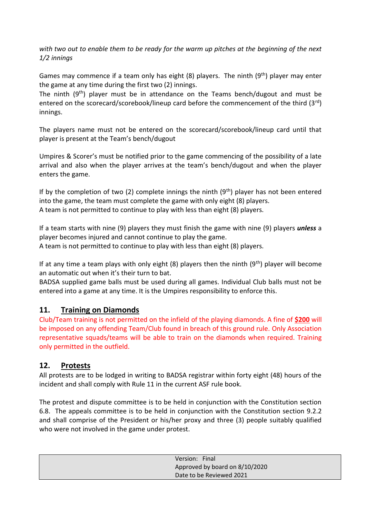*with two out to enable them to be ready for the warm up pitches at the beginning of the next 1/2 innings* 

Games may commence if a team only has eight  $(8)$  players. The ninth  $(9<sup>th</sup>)$  player may enter the game at any time during the first two (2) innings.

The ninth  $(9<sup>th</sup>)$  player must be in attendance on the Teams bench/dugout and must be entered on the scorecard/scorebook/lineup card before the commencement of the third  $(3<sup>rd</sup>)$ innings.

The players name must not be entered on the scorecard/scorebook/lineup card until that player is present at the Team's bench/dugout

Umpires & Scorer's must be notified prior to the game commencing of the possibility of a late arrival and also when the player arrives at the team's bench/dugout and when the player enters the game.

If by the completion of two (2) complete innings the ninth  $(9<sup>th</sup>)$  player has not been entered into the game, the team must complete the game with only eight (8) players. A team is not permitted to continue to play with less than eight (8) players.

If a team starts with nine (9) players they must finish the game with nine (9) players *unless* a player becomes injured and cannot continue to play the game.

A team is not permitted to continue to play with less than eight (8) players.

If at any time a team plays with only eight  $(8)$  players then the ninth  $(9<sup>th</sup>)$  player will become an automatic out when it's their turn to bat.

BADSA supplied game balls must be used during all games. Individual Club balls must not be entered into a game at any time. It is the Umpires responsibility to enforce this.

# **11. Training on Diamonds**

Club/Team training is not permitted on the infield of the playing diamonds. A fine of **\$200** will be imposed on any offending Team/Club found in breach of this ground rule. Only Association representative squads/teams will be able to train on the diamonds when required. Training only permitted in the outfield.

### **12. Protests**

All protests are to be lodged in writing to BADSA registrar within forty eight (48) hours of the incident and shall comply with Rule 11 in the current ASF rule book.

The protest and dispute committee is to be held in conjunction with the Constitution section 6.8. The appeals committee is to be held in conjunction with the Constitution section 9.2.2 and shall comprise of the President or his/her proxy and three (3) people suitably qualified who were not involved in the game under protest.

| Version: Final                 |
|--------------------------------|
| Approved by board on 8/10/2020 |
| Date to be Reviewed 2021       |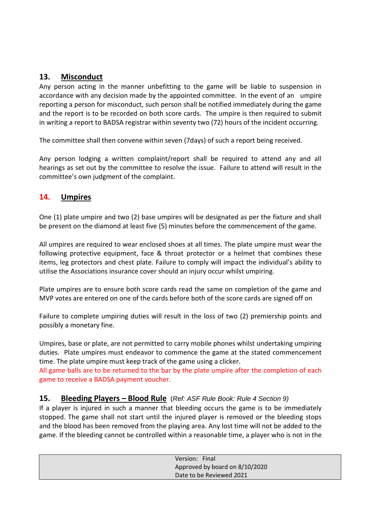# **13. Misconduct**

Any person acting in the manner unbefitting to the game will be liable to suspension in accordance with any decision made by the appointed committee. In the event of an umpire reporting a person for misconduct, such person shall be notified immediately during the game and the report is to be recorded on both score cards. The umpire is then required to submit in writing a report to BADSA registrar within seventy two (72) hours of the incident occurring.

The committee shall then convene within seven (7days) of such a report being received.

Any person lodging a written complaint/report shall be required to attend any and all hearings as set out by the committee to resolve the issue. Failure to attend will result in the committee's own judgment of the complaint.

# **14. Umpires**

One (1) plate umpire and two (2) base umpires will be designated as per the fixture and shall be present on the diamond at least five (5) minutes before the commencement of the game.

All umpires are required to wear enclosed shoes at all times. The plate umpire must wear the following protective equipment, face & throat protector or a helmet that combines these items, leg protectors and chest plate. Failure to comply will impact the individual's ability to utilise the Associations insurance cover should an injury occur whilst umpiring.

Plate umpires are to ensure both score cards read the same on completion of the game and MVP votes are entered on one of the cards before both of the score cards are signed off on

Failure to complete umpiring duties will result in the loss of two (2) premiership points and possibly a monetary fine.

Umpires, base or plate, are not permitted to carry mobile phones whilst undertaking umpiring duties. Plate umpires must endeavor to commence the game at the stated commencement time. The plate umpire must keep track of the game using a clicker.

All game balls are to be returned to the bar by the plate umpire after the completion of each game to receive a BADSA payment voucher.

### **15. Bleeding Players – Blood Rule** (*Ref: ASF Rule Book: Rule 4 Section 9)*

If a player is injured in such a manner that bleeding occurs the game is to be immediately stopped. The game shall not start until the injured player is removed or the bleeding stops and the blood has been removed from the playing area. Any lost time will not be added to the game. If the bleeding cannot be controlled within a reasonable time, a player who is not in the

| Version: Final                 |
|--------------------------------|
| Approved by board on 8/10/2020 |
| Date to be Reviewed 2021       |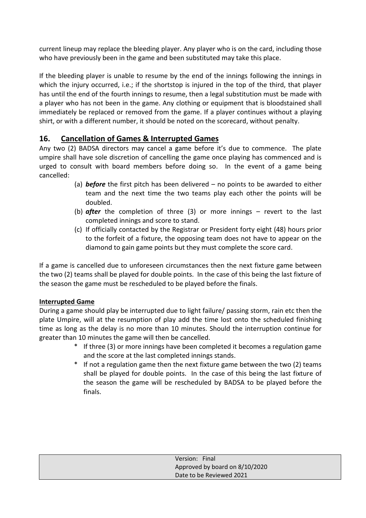current lineup may replace the bleeding player. Any player who is on the card, including those who have previously been in the game and been substituted may take this place.

If the bleeding player is unable to resume by the end of the innings following the innings in which the injury occurred, i.e.; if the shortstop is injured in the top of the third, that player has until the end of the fourth innings to resume, then a legal substitution must be made with a player who has not been in the game. Any clothing or equipment that is bloodstained shall immediately be replaced or removed from the game. If a player continues without a playing shirt, or with a different number, it should be noted on the scorecard, without penalty.

# **16. Cancellation of Games & Interrupted Games**

Any two (2) BADSA directors may cancel a game before it's due to commence. The plate umpire shall have sole discretion of cancelling the game once playing has commenced and is urged to consult with board members before doing so. In the event of a game being cancelled:

- (a) *before* the first pitch has been delivered no points to be awarded to either team and the next time the two teams play each other the points will be doubled.
- (b) *after* the completion of three (3) or more innings revert to the last completed innings and score to stand.
- (c) If officially contacted by the Registrar or President forty eight (48) hours prior to the forfeit of a fixture, the opposing team does not have to appear on the diamond to gain game points but they must complete the score card.

If a game is cancelled due to unforeseen circumstances then the next fixture game between the two (2) teams shall be played for double points. In the case of this being the last fixture of the season the game must be rescheduled to be played before the finals.

### **Interrupted Game**

During a game should play be interrupted due to light failure/ passing storm, rain etc then the plate Umpire, will at the resumption of play add the time lost onto the scheduled finishing time as long as the delay is no more than 10 minutes. Should the interruption continue for greater than 10 minutes the game will then be cancelled.

- \* If three (3) or more innings have been completed it becomes a regulation game and the score at the last completed innings stands.
- \* If not a regulation game then the next fixture game between the two (2) teams shall be played for double points. In the case of this being the last fixture of the season the game will be rescheduled by BADSA to be played before the finals.

| Version: Final                 |  |
|--------------------------------|--|
| Approved by board on 8/10/2020 |  |
| Date to be Reviewed 2021       |  |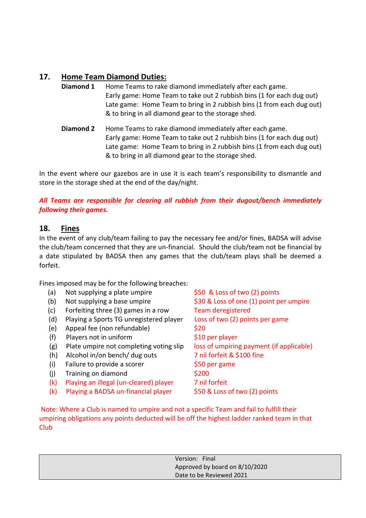# **17. Home Team Diamond Duties:**

- **Diamond 1** Home Teams to rake diamond immediately after each game. Early game: Home Team to take out 2 rubbish bins (1 for each dug out) Late game: Home Team to bring in 2 rubbish bins (1 from each dug out) & to bring in all diamond gear to the storage shed.
- **Diamond 2** Home Teams to rake diamond immediately after each game. Early game: Home Team to take out 2 rubbish bins (1 for each dug out) Late game: Home Team to bring in 2 rubbish bins (1 from each dug out) & to bring in all diamond gear to the storage shed.

In the event where our gazebos are in use it is each team's responsibility to dismantle and store in the storage shed at the end of the day/night.

### *All Teams are responsible for clearing all rubbish from their dugout/bench immediately following their games.*

# **18. Fines**

In the event of any club/team failing to pay the necessary fee and/or fines, BADSA will advise the club/team concerned that they are un-financial. Should the club/team not be financial by a date stipulated by BADSA then any games that the club/team plays shall be deemed a forfeit.

Fines imposed may be for the following breaches:

| (a) | Not supplying a plate umpire            | \$50 & Loss of two (2) points            |
|-----|-----------------------------------------|------------------------------------------|
| (b) | Not supplying a base umpire             | \$30 & Loss of one (1) point per umpire  |
| (c) | Forfeiting three (3) games in a row     | <b>Team deregistered</b>                 |
| (d) | Playing a Sports TG unregistered player | Loss of two (2) points per game          |
| (e) | Appeal fee (non refundable)             | \$20                                     |
| (f) | Players not in uniform                  | \$10 per player                          |
| (g) | Plate umpire not completing voting slip | loss of umpiring payment (if applicable) |
| (h) | Alcohol in/on bench/ dug outs           | 7 nil forfeit & \$100 fine               |
| (i) | Failure to provide a scorer             | \$50 per game                            |
| (i) | Training on diamond                     | \$200                                    |
| (k) | Playing an illegal (un-cleared) player  | 7 nil forfeit                            |
| (k) | Playing a BADSA un-financial player     | \$50 & Loss of two (2) points            |
|     |                                         |                                          |

Note: Where a Club is named to umpire and not a specific Team and fail to fulfill their umpiring obligations any points deducted will be off the highest ladder ranked team in that **Club** 

| Version: Final                 |  |
|--------------------------------|--|
| Approved by board on 8/10/2020 |  |
| Date to be Reviewed 2021       |  |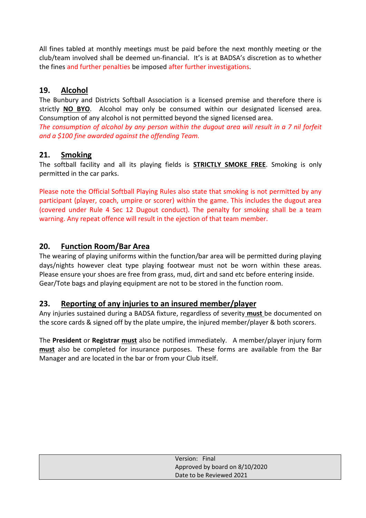All fines tabled at monthly meetings must be paid before the next monthly meeting or the club/team involved shall be deemed un-financial. It's is at BADSA's discretion as to whether the fines and further penalties be imposed after further investigations.

# **19. Alcohol**

The Bunbury and Districts Softball Association is a licensed premise and therefore there is strictly **NO BYO**. Alcohol may only be consumed within our designated licensed area. Consumption of any alcohol is not permitted beyond the signed licensed area.

*The consumption of alcohol by any person within the dugout area will result in a 7 nil forfeit and a \$100 fine awarded against the offending Team.*

# **21. Smoking**

The softball facility and all its playing fields is **STRICTLY SMOKE FREE**. Smoking is only permitted in the car parks.

Please note the Official Softball Playing Rules also state that smoking is not permitted by any participant (player, coach, umpire or scorer) within the game. This includes the dugout area (covered under Rule 4 Sec 12 Dugout conduct). The penalty for smoking shall be a team warning. Any repeat offence will result in the ejection of that team member.

# **20. Function Room/Bar Area**

The wearing of playing uniforms within the function/bar area will be permitted during playing days/nights however cleat type playing footwear must not be worn within these areas. Please ensure your shoes are free from grass, mud, dirt and sand etc before entering inside. Gear/Tote bags and playing equipment are not to be stored in the function room.

### **23. Reporting of any injuries to an insured member/player**

Any injuries sustained during a BADSA fixture, regardless of severity **must** be documented on the score cards & signed off by the plate umpire, the injured member/player & both scorers.

The **President** or **Registrar must** also be notified immediately. A member/player injury form **must** also be completed for insurance purposes. These forms are available from the Bar Manager and are located in the bar or from your Club itself.

| Version: Final                 |  |
|--------------------------------|--|
| Approved by board on 8/10/2020 |  |
| Date to be Reviewed 2021       |  |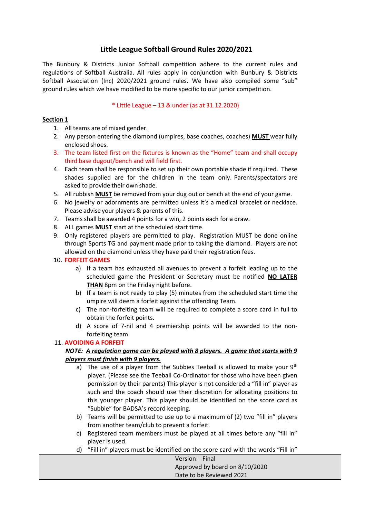#### **Little League Softball Ground Rules 2020/2021**

The Bunbury & Districts Junior Softball competition adhere to the current rules and regulations of Softball Australia. All rules apply in conjunction with Bunbury & Districts Softball Association (Inc) 2020/2021 ground rules. We have also compiled some "sub" ground rules which we have modified to be more specific to our junior competition.

#### \* Little League – 13 & under (as at 31.12.2020)

#### **Section 1**

- 1. All teams are of mixed gender.
- 2. Any person entering the diamond (umpires, base coaches, coaches) **MUST** wear fully enclosed shoes.
- 3. The team listed first on the fixtures is known as the "Home" team and shall occupy third base dugout/bench and will field first.
- 4. Each team shall be responsible to set up their own portable shade if required. These shades supplied are for the children in the team only. Parents/spectators are asked to provide their own shade.
- 5. All rubbish **MUST** be removed from your dug out or bench at the end of your game.
- 6. No jewelry or adornments are permitted unless it's a medical bracelet or necklace. Please advise your players & parents of this.
- 7. Teams shall be awarded 4 points for a win, 2 points each for a draw.
- 8. ALL games **MUST** start at the scheduled start time.
- 9. Only registered players are permitted to play. Registration MUST be done online through Sports TG and payment made prior to taking the diamond. Players are not allowed on the diamond unless they have paid their registration fees.

#### 10. **FORFEIT GAMES**

- a) If a team has exhausted all avenues to prevent a forfeit leading up to the scheduled game the President or Secretary must be notified **NO LATER THAN** 8pm on the Friday night before.
- b) If a team is not ready to play (5) minutes from the scheduled start time the umpire will deem a forfeit against the offending Team.
- c) The non-forfeiting team will be required to complete a score card in full to obtain the forfeit points.
- d) A score of 7-nil and 4 premiership points will be awarded to the nonforfeiting team.

#### 11. **AVOIDING A FORFEIT**

#### *NOTE: A regulation game can be played with 8 players. A game that starts with 9 players must finish with 9 players.*

- a) The use of a player from the Subbies Teeball is allowed to make your  $9<sup>th</sup>$ player. (Please see the Teeball Co-Ordinator for those who have been given permission by their parents) This player is not considered a "fill in" player as such and the coach should use their discretion for allocating positions to this younger player. This player should be identified on the score card as "Subbie" for BADSA's record keeping.
- b) Teams will be permitted to use up to a maximum of (2) two "fill in" players from another team/club to prevent a forfeit.
- c) Registered team members must be played at all times before any "fill in" player is used.
- d) "Fill in" players must be identified on the score card with the words "Fill in"

| Version: Final                 |  |
|--------------------------------|--|
| Approved by board on 8/10/2020 |  |
| Date to be Reviewed 2021       |  |